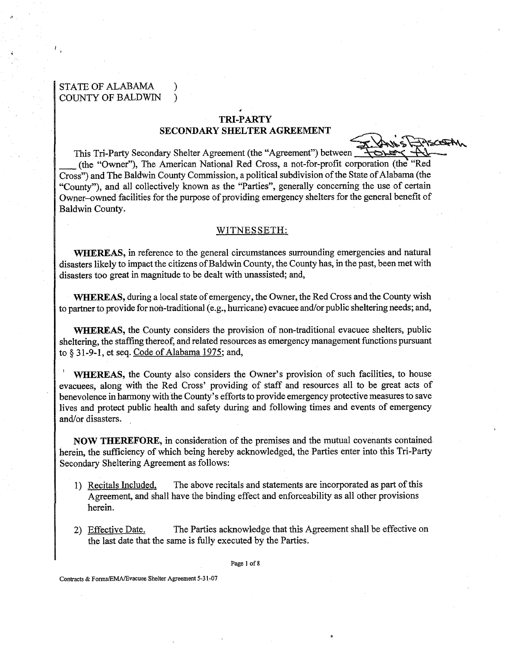# STATE OF ALABAMA ) COUNTY OF BALDWIN )

### **TRI-PARTY**

#### **SECONDARY SHELTER AGREEMENT**

This Tri-Party Secondary Shelter Agreement (the "Agreement") betwee (the "Owner"), The American National Red Cross, a not-for-profit corporation (the "Red Cross") and The Baldwin County Commission, a political subdivision of the State of Alabama (the "County"), and all collectively known as the "Parties", generally concerning the use of certain Owner-owned facilities for the purpose of providing emergency shelters for the general benefit of Baldwin County.

#### WITNESSETH:

**WHEREAS, in** reference to the general circumstances surrounding emergencies and natural disasters likely to impact the citizens of Baldwin County, the County has, in the past, been met with disasters too great in magnitude to be dealt with unassisted; and,

**WHEREAS,** during a local state of emergency, the Owner, the Red Cross and the County wish to partner to provide for non-traditional (e.g., hurricane) evacuee andlor public sheltering needs; and,

**WHEREAS,** the County considers the provision of non-traditional evacuee shelters, public sheltering, the staffing thereof, and related resources as emergency management functions pursuant to § 31-9-1, et seq. Code of Alabama 1975; and,

**WHEREAS,** the County also considers the Owner's provision of such facilities, to house evacuees, along with the Red Cross' providing of staff and resources all to be great acts of benevolence in harmony with the County's efforts to provide emergency protective measures to save lives and protect public health and safety during and following times and events of emergency and/or disasters.

**NOW THEREFORE,** in consideration of the premises and the mutual covenants contained herein, the sufficiency of which being hereby acknowledged, the Parties enter into this Tri-Party Secondary Sheltering Agreement as follows:

- 1) Recitals Included. The above recitals and statements are incorporated as part of this Agreement, and shall have the binding effect and enforceability as all other provisions herein.
- 2) Effective Date. The Parties acknowledge that this Agreement shall be effective on the last date that the same is fully executed by the Parties.

**Page 1 of 8** 

Contracts & **FormsEMAEvacuee** Shelter Agreement 5-3 1-07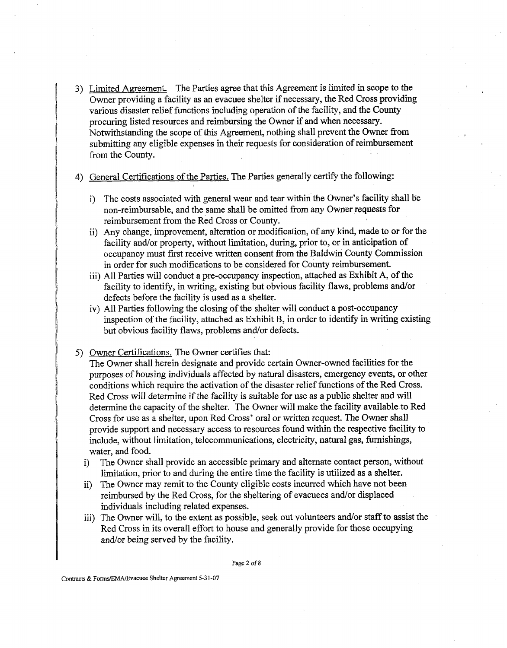3) Limited Apreement. The Parties agree that this Agreement is limited in scope to the Owner providing a facility as an evacuee shelter if necessary, the Red Cross providing various disaster relief functions including operation of the facility, and the County procuring listed resources and reimbursing the Owner if and when necessary. Notwithstanding the scope of this Agreement, nothing shall prevent the Owner from submitting any eligible expenses in their requests for consideration of reimbursement from the County.

## 4) General Certifications of the Parties. The Parties generally certify the following:

- i) The costs associated with general wear and tear within the Owner's facility shall be non-reimbursable, and the same shall be omitted fiom any Owner requests for reimbursement from the Red Cross or County. **,**
- ii) Any change, improvement, alteration or modification, of any kind, made to or for the facility and/or property, without limitation, during, prior to, or in anticipation of occupancy must first receive written consent from the Baldwin County Commission in order for such modifications to be considered for County reimbursement.
- iii) All Parties will conduct a pre-occupancy inspection, attached as Exhibit **A,** of the facility to identify, in writing, existing but obvious facility flaws, problems and/or defects before the facility is used as a shelter.
- iv) All Parties following the closing of the shelter will conduct a post-occupancy inspection of the facility, attached as Exhibit B, in order to identify in writing existing but obvious facility flaws, problems and/or defects.
- 5) Owner Certifications. The Owner certifies that:

The Owner shall herein designate and provide certain Owner-owned facilities for the purposes of housing individuals affected by natural disasters, emergency events, or other conditions which require the activation of the disaster relief functions of the Red Cross. Red Cross will determine if the facility is suitable for use as a public shelter and will determine the capacity of the shelter. The Owner will make the facility available to Red Cross for use as a shelter, upon Red Cross' oral or written request. The Owner shall provide support and necessary access to resources found within the respective facility to include, without limitation, telecommunications, electricity, natural gas, furnishings, water, and food.

- i) The Owner shall provide an accessible primary and alternate contact person, without limitation, prior to and during the entire time the facility is utilized as a shelter.
- ii) The Owner may remit to the County eligible costs incurred which have not been reimbursed by the Red Cross, for the sheltering of evacuees and/or displaced individuals including related expenses.
- iii) The Owner will, to the extent as possible, seek out volunteers and/or staff to assist the Red Cross in its overall effort to house and generally provide for those occupying and/or being served by the facility.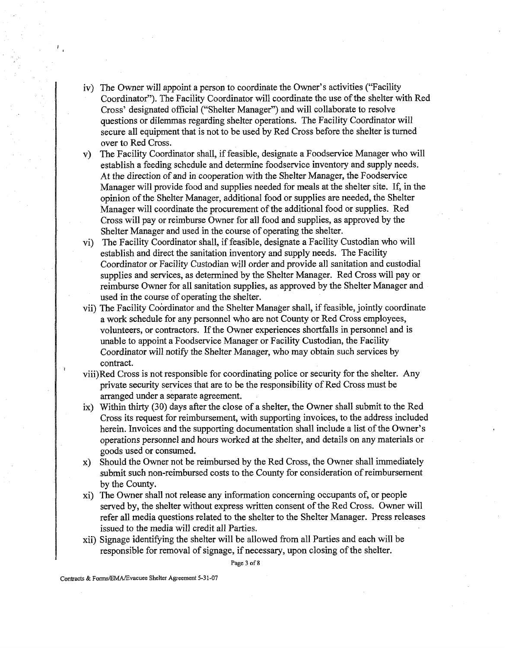- iv) The Owner will appoint a person to coordinate the Owner's activities ("Facility Coordinator"). The Facility Coordinator will coordinate the use of the shelter with Red Cross' designated official ("Shelter Manager") and will collaborate to resolve questions or dilemmas regarding shelter operations. The Facility Coordinator will secure all equipment that is not to be used by Red Cross before the shelter is turned over to Red Cross.
- v) The Facility Coordinator shall, if feasible, designate a Foodservice Manager who will establish a feeding schedule and determine foodservice inventory and supply needs. At the direction of and in cooperation with the Shelter Manager, the Foodservice Manager will provide food and supplies needed for meals at the shelter site. If, in the opinion of the Shelter Manager, additional food or supplies are needed, the Shelter Manager will coordinate the procurement of the additional food or supplies. Red Cross will pay or reimburse Owner for all food and supplies, as approved by the Shelter Manager and used in the course of operating the shelter.
- vi) The Facility Coordinator shall, if feasible, designate a Facility Custodian who will establish and direct the sanitation inventory and supply needs. The Facility Coordinator or Facility Custodian will order and provide all sanitation and custodial supplies and services, as determined by the Shelter Manager. Red Cross will pay or reimburse Owner for all sanitation supplies, as approved by the Shelter Manager and used in the course of operating the shelter.
- vii) The Facility Coordinator and the Shelter Manager shall, if feasible, jointly coordinate a work schedule for any personnel who are not County or Red Cross employees, volunteers, or contractors. If the Owner experiences shortfalls in personnel and is unable to appoint a Foodservice Manager or Facility Custodian, the Facility Coordinator will notify the Shelter Manager, who may obtain such services by contract.
- viii)Red Cross is not responsible for coordinating police or security for the shelter. Any private security services that are to be the responsibility of Red Cross must be arranged under a separate agreement.
- ix) Within thirty (30) days after the close of a shelter, the Owner shall submit to the Red Cross its request for reimbursement, with supporting invoices, to the address included herein. Invoices and the supporting documentation shall include a list of the Owner's operations personnel and hours worked at the shelter, and details on any materials or goods used or consumed.
- x) Should the Owner not be reimbursed by the Red Cross, the Owner shall immediately submit such non-reimbursed costs to the County for consideration of reimbursement by the County.
- xi) The Owner shall not release any information concerning occupants of, or people served by, the shelter without express written consent of the Red Cross. Owner will refer all media questions related to the shelter to the Shelter Manager. Press releases issued to the media will credit all Parties.
- xii) Signage identifying the shelter will be allowed from all Parties and each will be responsible for removal of signage, if necessary, upon closing of the shelter.

Page **3** of 8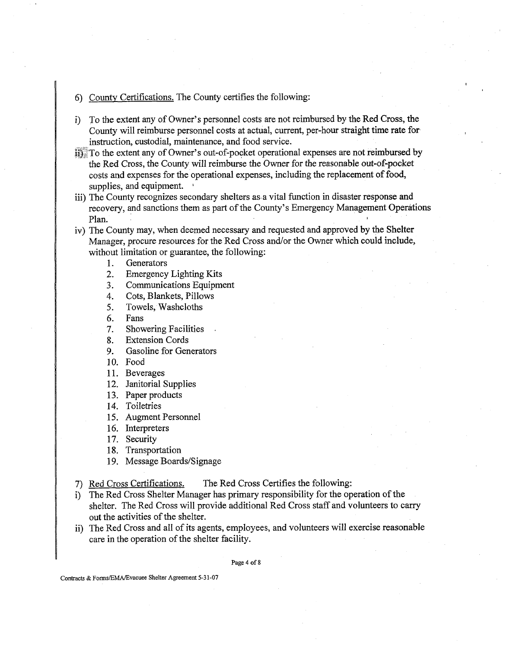- 6) County Certifications. The County certifies the following:
- i) To the extent any of Owner's personnel costs are not reimbursed by the Red Cross, the County will reimburse personnel costs at actual, current, per-hour straight time rate for instruction, custodial, maintenance, and food service.
- $\overline{13}$ . To the extent any of Owner's out-of-pocket operational expenses are not reimbursed by the Red Cross, the County will reimburse the Owner for the reasonable out-of-pocket costs and expenses for the operational expenses, including the replacement of food, supplies, and equipment.
- iii) The County recognizes secondary shelters as a vital function in disaster response and recovery, and sanctions them as part of the County's Emergency Management Operations Plan. **I** and **I** and **I** and **I** and **I** and **I** and **I** and **I** and **I** and **I** and **I** and **I** and **I** and **I** and **I** and **I** and **I** and **I** and **I** and **I** and **I** and **I** and **I** and **I** and **I** and **I** and **I** and
- iv) The County may, when deemed necessary and requested and approved by the Shelter Manager, procure resources for the Red Cross and/or the Owner which could include, without limitation or guarantee, the following:
	- 1. **Generators**
	- $2.$ Emergency Lighting Kits
	- Communications Equipment  $3.$
	- Cots, Blankets, Pillows  $\overline{4}$ .
	- 5. Towels, Washcloths
	- 6. Fans
	- 7. Showering Facilities .
	- Extension Cords 8.
	- 9. Gasoline for Generators
	- 10. Food
	- 11. Beverages
	- 12. Janitorial Supplies
	- 13. Paper products
	- 14. Toiletries
	- Augment Personnel
	- 16. Interpreters
	- 17. Security
	- 18. Transportation
	- 19. Message Boards/Signage
- 7) Red Cross Certifications. The Red Cross Certifies the following:
- i) The Red Cross Shelter Manager has primary responsibility for the operation of the shelter. The Red Cross will provide additional Red Cross staff and volunteers to carry out the activities of the shelter.
- ii) The Red Cross and all of its agents, employees, and volunteers will exercise reasonable care in the operation of the shelter facility.

Page **4 of 8** 

Contracts & FonnsIEMAlEvacuee Shelter Agreement **5-3 1-07**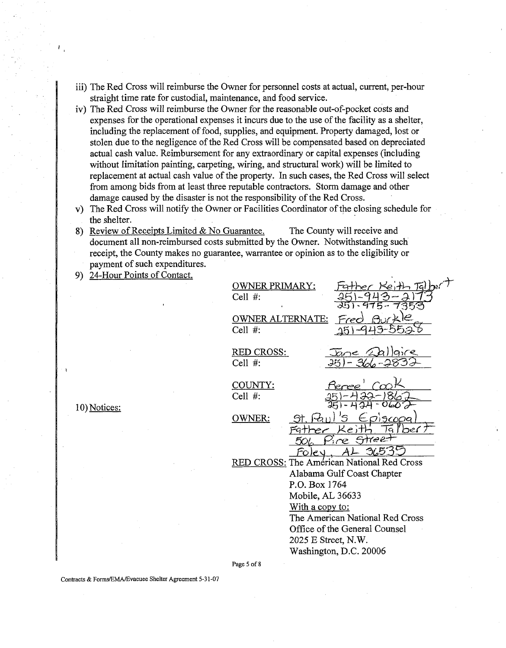- iii) The Red Cross will reimburse the Owner for personnel costs at actual, current, per-hour straight time rate for custodial, maintenance, and food service.
- iv) The Red Cross will reimburse the Owner for the reasonable out-of-pocket costs and expenses for the operational expenses it incurs due to the use of the facility as a shelter, including the replacement of food, supplies, and equipment. Property damaged, lost or stolen due to the negligence of the Red Cross will be compensated based on depreciated actual cash value. Reimbursement for any extraordinary or capital expenses (including without limitation painting, carpeting, wiring, and structural work) will be limited to replacement at actual cash value of the property. In such cases, the Red Cross will select from among bids from at least three reputable contractors. Storm damage and other damage caused by the disaster is not the responsibility of the Red Cross.
- v) The Red Cross will notify the Owner or Facilities Coordinator of the closing schedule for the shelter.

8) Review of Receipts Limited & No Guarantee. The County will receive and document all non-reimbursed costs submitted by the Owner. Notwithstanding such receipt, the County makes no guarantee, warrantee or opinion as to the eligibility or payment of such expenditures.

9) 24-Hour Points of Contact.

| WNER PRIMARY:<br>Cell #:              |                                                                                                  |
|---------------------------------------|--------------------------------------------------------------------------------------------------|
| <b>OWNER ALTERNATE:</b><br>Cell $#$ : |                                                                                                  |
| <u>RED CROSS:</u><br>Cell $#$ :       | جہ                                                                                               |
| COUNTY:<br>Cell #:                    |                                                                                                  |
| OWNER:                                | 560<br>e C                                                                                       |
|                                       | <b>RED CROSS: The Américan National Red Cross</b><br>Alabama Gulf Coast Chapter<br>P.O. Box 1764 |
|                                       | Mobile, AL 36633<br>With a copy to:                                                              |
|                                       | The American National Red Cross<br>Office of the General Counsel<br>2025 E Street, N.W.          |
| Page 5 of 8                           | Washington, D.C. 20006                                                                           |

10) Notices:

Contracts & FonnsEMAEvacuee Shelter Agreement 5-31-07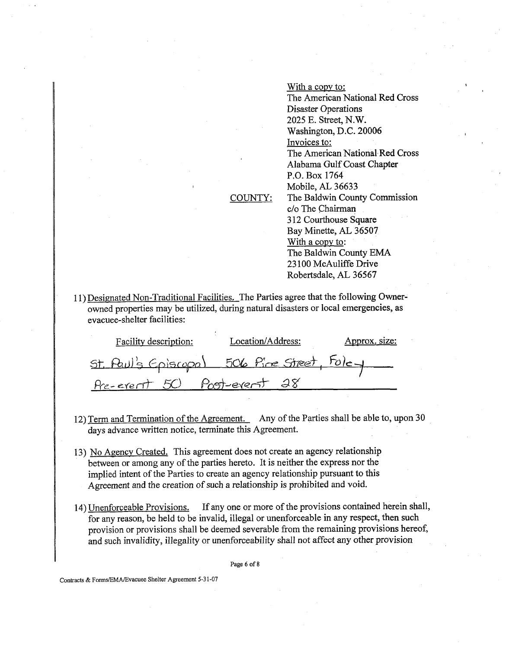COUNTY: With a copy to: The American National Red Cross Disaster Operations 2025 E. Street, N.W. Washington, D.C. 20006 Invoices to: The American National Red Cross Alabama Gulf Coast Chapter P.O. Box 1764 Mobile, AL 36633 The Baldwin County Commission c/o The Chairman 3 12 Courthouse Square Bay Minette, **AL** 36507 With a copy to: The Baldwin County **EMA**  23 100 McAuliffe Drive Robertsdale, **AL** 36567

11) Designated Non-Traditional Facilities. The Parties agree that the following Ownerowned properties may be utilized, during natural disasters or local emergencies, as evacuee-shelter facilities:

| Facility description:                   | Location/Address: | <u>Approx, size:</u> |
|-----------------------------------------|-------------------|----------------------|
| Faul's Episcopal 506 Pine Street, Foley |                   |                      |
| Pre-event 50 Post-event 28              |                   |                      |

- 12) Term and Termination of the Agreement. Any of the Parties shall be able to, upon 30 days advance written notice, terminate this Agreement.
- 13) No Agency Created. This agreement does not create an agency relationship between or among any of the parties hereto. It is neither the express nor the implied intent of the Parties to create an agency relationship pursuant to this Agreement and the creation of such a relationship is prohibited and void.
- 14) Unenforceable Provisions. If any one or more of the provisions contained herein shall, for any reason, be held to be invalid, illegal or unenforceable in any respect, then such provision or provisions shall be deemed severable from the remaining provisions hereof, and such invalidity, illegality or unenforceability shall not affect any other provision

Page 6 of 8

Contracts & FormsIEMAEvacuee Shelter Agreement 5-3 1-07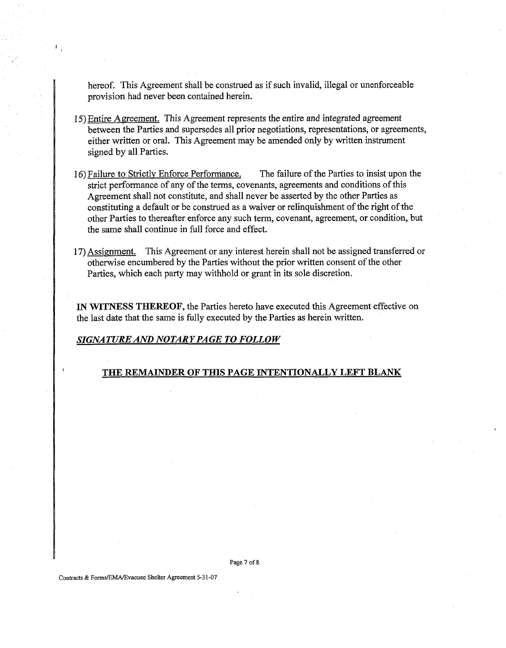hereof. This Agreement shall be construed as if such invalid, illegal or unenforceable provision had never been contained herein.

- 15) Entire Agreement. This Agreement represents the entire and integrated agreement between the Parties and supersedes all prior negotiations, representations, or agreements, either written or oral. This Agreement may be amended only by written instrument signed by all Parties.
- 16) Failure to Strictly Enforce Performance. The failure of the Parties to insist upon the strict performance of any of the terms, covenants, agreements and conditions of this Agreement shall not constitute, and shall never be asserted by the other Parties as constituting a default or be construed as a waiver or relinquishment of the right of the other Parties to thereafter enforce any such term, covenant, agreement, or condition, but the same shall continue in full force and effect.
- 17) Assiment. This Agreement or any interest herein shall not be assigned transferred or otherwise encumbered by the Parties without the prior written consent of the other Parties, which each party may withhold or grant in its sole discretion.

IN WITNESS THEREOF, the Parties hereto have executed this Agreement effective on the last date that the same is fully executed by the Parties as herein written.

## *SIGNATURE AND NOTARY PAGE TO FOLLOW*

## THE REMAINDER OF THIS PAGE INTENTIONALLY LEFT BLANK

Page 7 of 8

**Contracts** & **FormsIEMAEvacuee** Shelter **Agreement 5-3** 1-07